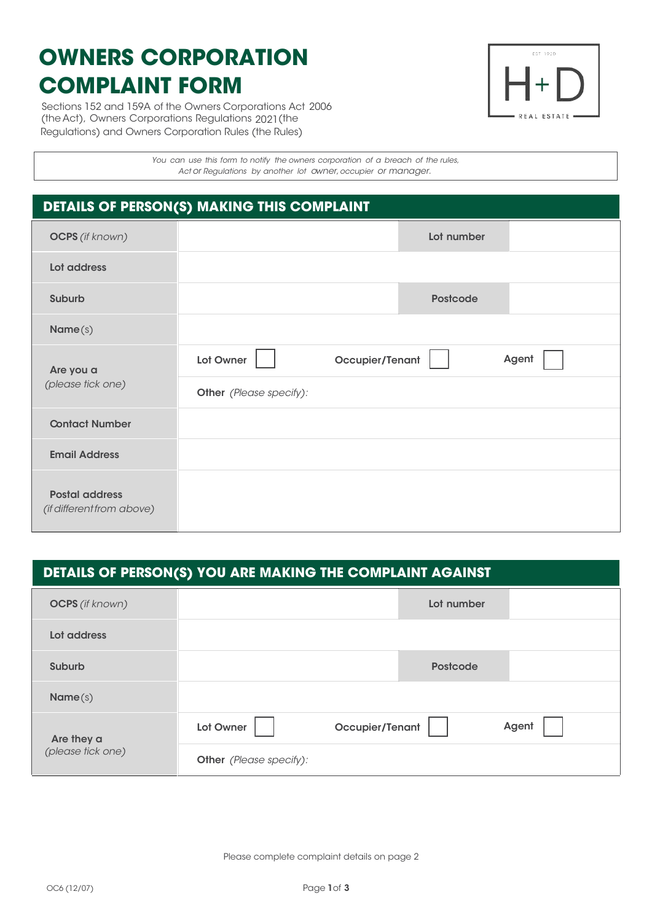# **OWNERS CORPORATION COMPLAINT FORM**

Sections 152 and 159A of the Owners Corporations Act 2006 (the Act), Owners Corporations Regulations 2021(the Regulations) and Owners Corporation Rules (the Rules)



*You can use this form to notify the owners corporation of a breach of the rules, Act or Regulations by another lot owner,occupier or manager.*

*You cannot use thisform in relation to personal injury.*

## **DETAILS OF PERSON(S) MAKING THIS COMPLAINT**

| <b>OCPS</b> (if known)                             | Lot number                            |
|----------------------------------------------------|---------------------------------------|
| Lot address                                        |                                       |
| Suburb                                             | <b>Postcode</b>                       |
| Name(s)                                            |                                       |
| Are you a<br>(please tick one)                     | Occupier/Tenant<br>Agent<br>Lot Owner |
|                                                    | Other (Please specify):               |
| <b>Contact Number</b>                              |                                       |
| <b>Email Address</b>                               |                                       |
| <b>Postal address</b><br>(if different from above) |                                       |

## **DETAILS OF PERSON(S) YOU ARE MAKING THE COMPLAINT AGAINST**

| <b>OCPS</b> (if known)          | Lot number                            |
|---------------------------------|---------------------------------------|
| Lot address                     |                                       |
| Suburb                          | <b>Postcode</b>                       |
| Name(s)                         |                                       |
| Are they a<br>(please tick one) | Agent<br>Lot Owner<br>Occupier/Tenant |
|                                 | Other (Please specify):               |

Please complete complaint details on page 2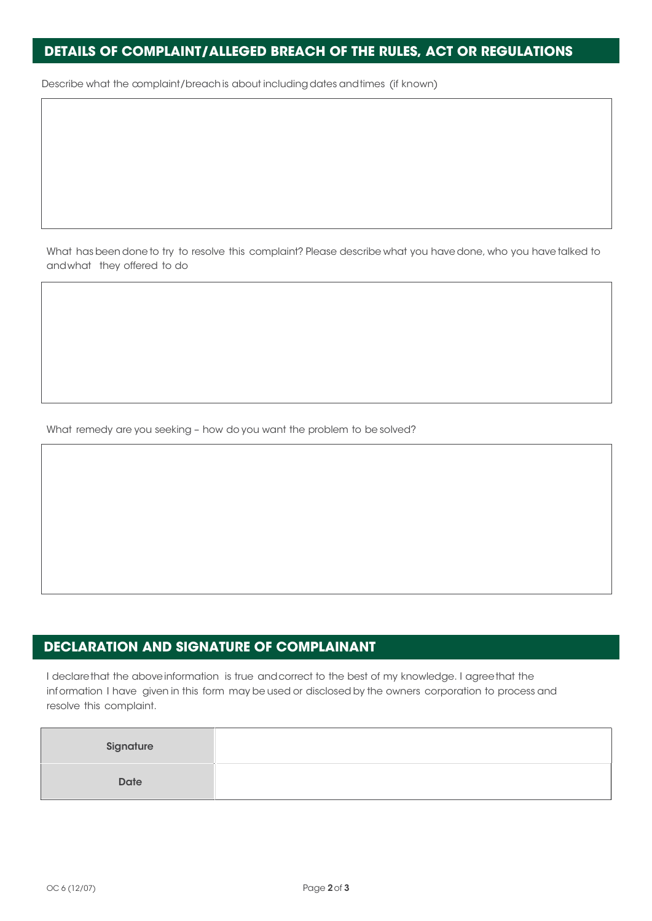#### **DETAILS OF COMPLAINT/ALLEGED BREACH OF THE RULES, ACT OR REGULATIONS**

Describe what the complaint/breach is about including dates and times (if known)

What has beendone to try to resolve this complaint? Please describe what you have done, who you have talked to andwhat they offered to do

What remedy are you seeking – how do you want the problem to be solved?

### **DECLARATION AND SIGNATURE OF COMPLAINANT**

I declarethat the aboveinformation is true andcorrect to the best of my knowledge. I agreethat the information I have given in this form may be used or disclosed by the owners corporation to process and resolve this complaint.

| Signature   |  |
|-------------|--|
| <b>Date</b> |  |